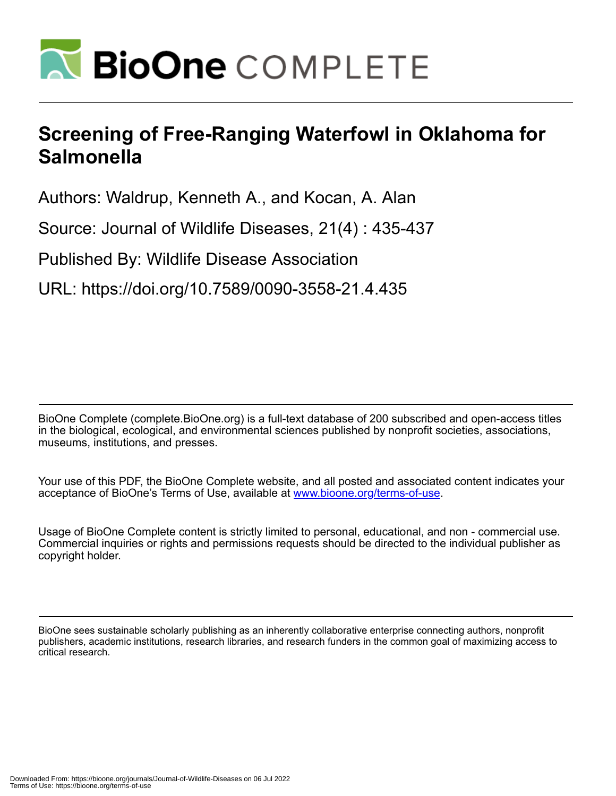

## **Screening of Free-Ranging Waterfowl in Oklahoma for Salmonella**

Authors: Waldrup, Kenneth A., and Kocan, A. Alan

Source: Journal of Wildlife Diseases, 21(4) : 435-437

Published By: Wildlife Disease Association

URL: https://doi.org/10.7589/0090-3558-21.4.435

BioOne Complete (complete.BioOne.org) is a full-text database of 200 subscribed and open-access titles in the biological, ecological, and environmental sciences published by nonprofit societies, associations, museums, institutions, and presses.

Your use of this PDF, the BioOne Complete website, and all posted and associated content indicates your acceptance of BioOne's Terms of Use, available at www.bioone.org/terms-of-use.

Usage of BioOne Complete content is strictly limited to personal, educational, and non - commercial use. Commercial inquiries or rights and permissions requests should be directed to the individual publisher as copyright holder.

BioOne sees sustainable scholarly publishing as an inherently collaborative enterprise connecting authors, nonprofit publishers, academic institutions, research libraries, and research funders in the common goal of maximizing access to critical research.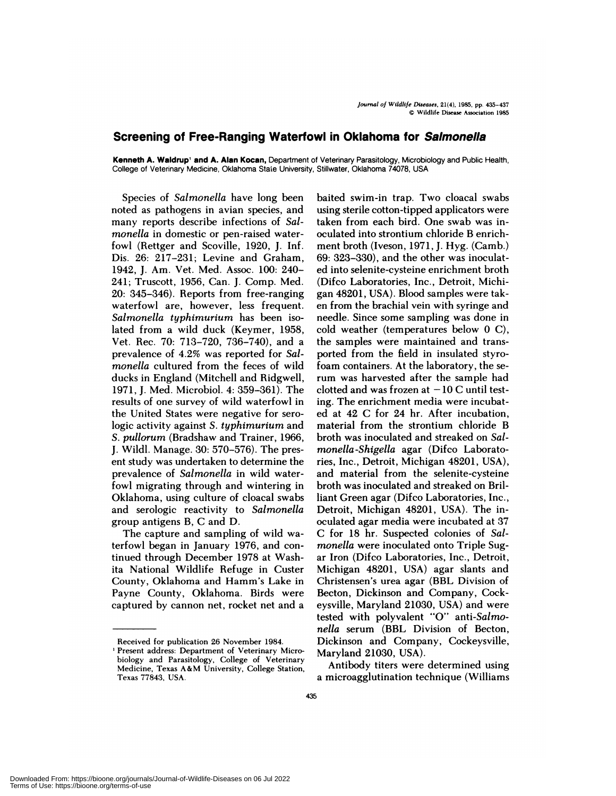## **Screening of Free-Ranging Waterfowl in Oklahoma for Salmonella**

**Kenneth A. Waidrup' and A. Alan Kocan,** Department of Veterinary Parasitology, Microbiology and Public Health, College of Veterinary Medicine, Oklahoma State University, Stillwater, Oklahoma 74078, USA

Species of *Salmonella* have long been noted as pathogens in avian species, and many reports describe infections of *Salmonella* in domestic or pen-raised waterfowl (Rettger and Scoville, 1920, J. Inf. Dis. 26: 217-231; Levine and Graham, 1942, J. Am. Vet. Med. Assoc. 100: 240- 241; Truscott, 1956, Can. J. Comp. Med. 20: 345-346). Reports from free-ranging waterfowl are, however, less frequent. *Salmonella typhimurium* has been isolated from a wild duck (Keymer, 1958, Vet. Rec. 70: 713-720, 736-740), and a prevalence of 4.2% was reported for *Salmonella* cultured from the feces of wild ducks in England (Mitchell and Ridgwell, 1971, J. Med. Microbiol. 4: 359-361). The results of one survey of wild waterfowl in the United States were negative for serologic activity against *S. typhimurium* and *S. pullorum* (Bradshaw and Trainer, 1966, J. Wild!. Manage. 30: 570-576). The present study was undertaken to determine the prevalence of *Salmonella* in wild waterfowl migrating through and wintering in Oklahoma, using culture of cloacal swabs and serologic reactivity to *Salmonella* group antigens B, C and D.

The capture and sampling of wild waterfowl began in January 1976, and continued through December 1978 at Washita National Wildlife Refuge in Custer County, Oklahoma and Hamm's Lake in Payne County, Oklahoma. Birds were captured by cannon net, rocket net and a

baited swim-in trap. Two cloacal swabs using sterile cotton-tipped applicators were taken from each bird. One swab was inoculated into strontium chloride B enrichment broth (Iveson, 1971, J. Hyg. (Camb.) 69: 323-330), and the other was inoculated into selenite-cysteine enrichment broth (Difco Laboratories, Inc., Detroit, Michigan 48201, USA). Blood samples were tak en from the brachial vein with syringe and needle. Since some sampling was done in cold weather (temperatures below 0 C), the samples were maintained and transported from the field in insulated styrofoam containers. At the laboratory, the serum was harvested after the sample had clotted and was frozen at  $-10$  C until testing. The enrichment media were incubated at 42 C for 24 hr. After incubation, material from the strontium chloride B broth was inoculated and streaked on *Salmonella-Shigella* agar (Difco Laboratories, Inc., Detroit, Michigan 48201, USA), and material from the selenite-cysteine broth was inoculated and streaked on Brilliant Green agan (Difco Laboratories, Inc., Detroit, Michigan 48201, USA). The inoculated agar media were incubated at 37 C for 18 hr. Suspected colonies of *Salmonella* were inoculated onto Triple Sug ar Iron (Difco Laboratories, Inc., Detroit, Michigan 48201, USA) agar slants and Christensen's urea agar (BBL Division of Becton, Dickinson and Company, Cockeysville, Maryland 21030, USA) and were tested with polyvalent "0" *anti-Salmonella* serum (BBL Division of Becton, Dickinson and Company, Cockeysville, Maryland 21030, USA).

Antibody titers were determined using a microagglutination technique (Williams

Received for publication 26 November 1984.

<sup>&#</sup>x27;Present address: Department of Veterinary Microbiology and Parasitology, College of Veterinary Medicine, Texas A&M University, College Station, **Texas** 77843, USA.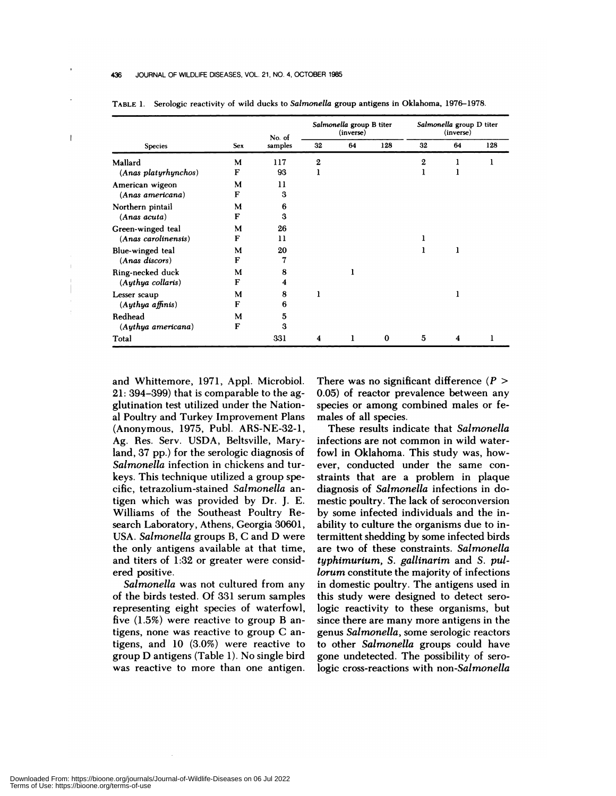## 436 JOURNAL OF WILDLIFE DISEASES, VOL. 21, NO. 4, OCTOBER 1985

 $\overline{1}$ 

| <b>Species</b>                        | <b>Sex</b> | No. of<br>samples | Salmonella group B titer<br>(inverse) |    |     | Salmonella group D titer<br>(inverse) |    |     |
|---------------------------------------|------------|-------------------|---------------------------------------|----|-----|---------------------------------------|----|-----|
|                                       |            |                   | 32                                    | 64 | 128 | 32                                    | 64 | 128 |
| Mallard                               | M          | 117               | $\mathbf{2}$                          |    |     | $\mathbf{2}$                          | ı  |     |
| (Anas platyrhynchos)                  | F          | 93                | ı                                     |    |     | 1                                     | ı  |     |
| American wigeon                       | M          | 11                |                                       |    |     |                                       |    |     |
| (Anas americana)                      | F          | 3                 |                                       |    |     |                                       |    |     |
| Northern pintail                      | M          | 6                 |                                       |    |     |                                       |    |     |
| (Ans. actual)                         | F          | 3                 |                                       |    |     |                                       |    |     |
| Green-winged teal                     | M          | 26                |                                       |    |     |                                       |    |     |
| (Anas carolinensis)                   | F          | 11                |                                       |    |     |                                       |    |     |
| Blue-winged teal<br>$(Ans: discors))$ | м          | 20                |                                       |    |     |                                       |    |     |
|                                       | F          | 7                 |                                       |    |     |                                       |    |     |
| Ring-necked duck                      | м          | 8                 |                                       | 1  |     |                                       |    |     |
| $(Authya$ collaris)                   | F          | 4                 |                                       |    |     |                                       |    |     |
| Lesser scaup                          | М          | 8                 | 1                                     |    |     |                                       | 1  |     |
| $(Aythya\text{ affinis})$             | F          | 6                 |                                       |    |     |                                       |    |     |
| Redhead                               | M          | 5                 |                                       |    |     |                                       |    |     |
| (Aythya americana)                    | F          | 3                 |                                       |    |     |                                       |    |     |
| Total                                 |            | 331               | 4                                     | 1  | 0   | 5                                     | 4  |     |

**TABLE** 1.Serologic reactivity of wild ducks to *Salmonella* group antigens in Oklahoma, 1976-1978.

and Whittemore, 1971, App!. Microbiol. 21: 394-399) that is comparable to the agglutination test utilized under the National Poultry and Turkey Improvement Plans (Anonymous, 1975, Pub!. ARS-NE-32-1, Ag. Res. Serv. USDA, Beltsville, Maryland, 37 pp.) for the serologic diagnosis of *Salmonella* infection in chickens and turkeys. This technique utilized a group specific, tetrazolium-stained *Salmonella* antigen which was provided by Dr. J. E. Williams of the Southeast Poultry Research Laboratory, Athens, Georgia 30601, USA. *Salmonella* groups B, C and D were the only antigens available at that time, and titers of 1:32 or greater were considered positive.

*Salmonella* was not cultured from any of the birds tested. Of 331 serum samples representing eight species of waterfowl, five (1.5%) were reactive to group B antigens, none was reactive to group C antigens, and 10 (3.0%) were reactive to group D antigens (Table 1). No single bird was reactive to more than one antigen. There was no significant difference *(P* > 0.05) of reactor prevalence between any species or among combined males or females of all species.

These results indicate that *Salmonella* infections are not common in wild waterfowl in Oklahoma. This study was, however, conducted under the same con straints that are a problem in plaque diagnosis of *Salmonella* infections in domestic poultry. The lack of seroconversion by some infected individuals and the inability to culture the organisms due to intermittent shedding by some infected birds are two of these constraints. *Salmonella typhimurium, S. gallinarim* and *S. pullorum* constitute the majority of infections in domestic poultry. The antigens used in this study were designed to detect serologic reactivity to these organisms, but since there are many more antigens in the genus *Salmonella,* some serologic reactors to other *Salmonella* groups could have gone undetected. The possibility of senologic cross-reactions with *non-Salmonella*